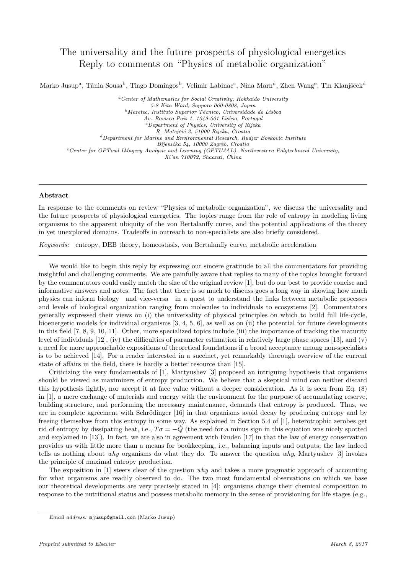## The universality and the future prospects of physiological energetics Reply to comments on "Physics of metabolic organization"

Marko Jusup<sup>a</sup>, Tânia Sousa<sup>b</sup>, Tiago Domingos<sup>b</sup>, Velimir Labinac<sup>c</sup>, Nina Marn<sup>d</sup>, Zhen Wang<sup>e</sup>, Tin Klanjšček<sup>d</sup>

<sup>a</sup>Center of Mathematics for Social Creativity, Hokkaido University 5-8 Kita Ward, Sapporo 060-0808, Japan  $^{b}$ Maretec, Instituto Superior Técnico, Universidade de Lisboa Av. Rovisco Pais 1, 1049-001 Lisboa, Portugal <sup>c</sup>Department of Physics, University of Rijeka R. Matejčić 2, 51000 Rijeka, Croatia  ${}^{d}$ Department for Marine and Environmental Research, Rudjer Boskovic Institute Bijenička 54, 10000 Zagreb, Croatia <sup>e</sup>Center for OPTical IMagery Analysis and Learning (OPTIMAL), Northwestern Polytechnical University, Xi'an 710072, Shaanxi, China

## Abstract

In response to the comments on review "Physics of metabolic organization", we discuss the universality and the future prospects of physiological energetics. The topics range from the role of entropy in modeling living organisms to the apparent ubiquity of the von Bertalanffy curve, and the potential applications of the theory in yet unexplored domains. Tradeoffs in outreach to non-specialists are also briefly considered.

Keywords: entropy, DEB theory, homeostasis, von Bertalanffy curve, metabolic acceleration

We would like to begin this reply by expressing our sincere gratitude to all the commentators for providing insightful and challenging comments. We are painfully aware that replies to many of the topics brought forward by the commentators could easily match the size of the original review [1], but do our best to provide concise and informative answers and notes. The fact that there is so much to discuss goes a long way in showing how much physics can inform biology—and vice-versa—in a quest to understand the links between metabolic processes and levels of biological organization ranging from molecules to individuals to ecosystems [2]. Commentators generally expressed their views on (i) the universality of physical principles on which to build full life-cycle, bioenergetic models for individual organisms [3, 4, 5, 6], as well as on (ii) the potential for future developments in this field [7, 8, 9, 10, 11]. Other, more specialized topics include (iii) the importance of tracking the maturity level of individuals  $[12]$ , (iv) the difficulties of parameter estimation in relatively large phase spaces  $[13]$ , and  $(v)$ a need for more approachable expositions of theoretical foundations if a broad acceptance among non-specialists is to be achieved [14]. For a reader interested in a succinct, yet remarkably thorough overview of the current state of affairs in the field, there is hardly a better resource than [15].

Criticizing the very fundamentals of [1], Martyushev [3] proposed an intriguing hypothesis that organisms should be viewed as maximizers of entropy production. We believe that a skeptical mind can neither discard this hypothesis lightly, nor accept it at face value without a deeper consideration. As it is seen from Eq. (8) in [1], a mere exchange of materials and energy with the environment for the purpose of accumulating reserve, building structure, and performing the necessary maintenance, demands that entropy is produced. Thus, we are in complete agreement with Schrödinger [16] in that organisms avoid decay by producing entropy and by freeing themselves from this entropy in some way. As explained in Section 5.4 of [1], heterotrophic aerobes get rid of entropy by dissipating heat, i.e.,  $T\sigma = -\dot{Q}$  (the need for a minus sign in this equation was nicely spotted and explained in [13]). In fact, we are also in agreement with Emden [17] in that the law of energy conservation provides us with little more than a means for bookkeeping, i.e., balancing inputs and outputs; the law indeed tells us nothing about why organisms do what they do. To answer the question why, Martyushev [3] invokes the principle of maximal entropy production.

The exposition in [1] steers clear of the question why and takes a more pragmatic approach of accounting for what organisms are readily observed to do. The two most fundamental observations on which we base our theoretical developments are very precisely stated in [4]: organisms change their chemical composition in response to the nutritional status and possess metabolic memory in the sense of provisioning for life stages (e.g.,

Email address: mjusup@gmail.com (Marko Jusup)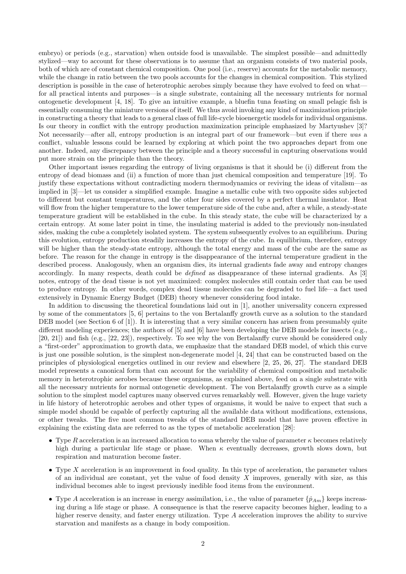embryo) or periods (e.g., starvation) when outside food is unavailable. The simplest possible—and admittedly stylized—way to account for these observations is to assume that an organism consists of two material pools, both of which are of constant chemical composition. One pool (i.e., reserve) accounts for the metabolic memory, while the change in ratio between the two pools accounts for the changes in chemical composition. This stylized description is possible in the case of heterotrophic aerobes simply because they have evolved to feed on whatfor all practical intents and purposes—is a single substrate, containing all the necessary nutrients for normal ontogenetic development [4, 18]. To give an intuitive example, a bluefin tuna feasting on small pelagic fish is essentially consuming the miniature versions of itself. We thus avoid invoking any kind of maximization principle in constructing a theory that leads to a general class of full life-cycle bioenergetic models for individual organisms. Is our theory in conflict with the entropy production maximization principle emphasized by Martyushev [3]? Not necessarily—after all, entropy production is an integral part of our framework—but even if there was a conflict, valuable lessons could be learned by exploring at which point the two approaches depart from one another. Indeed, any discrepancy between the principle and a theory successful in capturing observations would put more strain on the principle than the theory.

Other important issues regarding the entropy of living organisms is that it should be (i) different from the entropy of dead biomass and (ii) a function of more than just chemical composition and temperature [19]. To justify these expectations without contradicting modern thermodynamics or reviving the ideas of vitalism—as implied in [3]—let us consider a simplified example. Imagine a metallic cube with two opposite sides subjected to different but constant temperatures, and the other four sides covered by a perfect thermal insulator. Heat will flow from the higher temperature to the lower temperature side of the cube and, after a while, a steady-state temperature gradient will be established in the cube. In this steady state, the cube will be characterized by a certain entropy. At some later point in time, the insulating material is added to the previously non-insulated sides, making the cube a completely isolated system. The system subsequently evolves to an equilibrium. During this evolution, entropy production steadily increases the entropy of the cube. In equilibrium, therefore, entropy will be higher than the steady-state entropy, although the total energy and mass of the cube are the same as before. The reason for the change in entropy is the disappearance of the internal temperature gradient in the described process. Analogously, when an organism dies, its internal gradients fade away and entropy changes accordingly. In many respects, death could be defined as disappearance of these internal gradients. As [3] notes, entropy of the dead tissue is not yet maximized: complex molecules still contain order that can be used to produce entropy. In other words, complex dead tissue molecules can be degraded to fuel life—a fact used extensively in Dynamic Energy Budget (DEB) theory whenever considering food intake.

In addition to discussing the theoretical foundations laid out in [1], another universality concern expressed by some of the commentators [5, 6] pertains to the von Bertalanffy growth curve as a solution to the standard DEB model (see Section 6 of [1]). It is interesting that a very similar concern has arisen from presumably quite different modeling experiences; the authors of [5] and [6] have been developing the DEB models for insects (e.g., [20, 21]) and fish (e.g., [22, 23]), respectively. To see why the von Bertalanffy curve should be considered only a "first-order" approximation to growth data, we emphasize that the standard DEB model, of which this curve is just one possible solution, is the simplest non-degenerate model [4, 24] that can be constructed based on the principles of physiological energetics outlined in our review and elsewhere [2, 25, 26, 27]. The standard DEB model represents a canonical form that can account for the variability of chemical composition and metabolic memory in heterotrophic aerobes because these organisms, as explained above, feed on a single substrate with all the necessary nutrients for normal ontogenetic development. The von Bertalanffy growth curve as a simple solution to the simplest model captures many observed curves remarkably well. However, given the huge variety in life history of heterotrophic aerobes and other types of organisms, it would be naive to expect that such a simple model should be capable of perfectly capturing all the available data without modifications, extensions, or other tweaks. The five most common tweaks of the standard DEB model that have proven effective in explaining the existing data are referred to as the types of metabolic acceleration [28]:

- Type R acceleration is an increased allocation to soma whereby the value of parameter  $\kappa$  becomes relatively high during a particular life stage or phase. When  $\kappa$  eventually decreases, growth slows down, but respiration and maturation become faster.
- Type X acceleration is an improvement in food quality. In this type of acceleration, the parameter values of an individual are constant, yet the value of food density  $X$  improves, generally with size, as this individual becomes able to ingest previously inedible food items from the environment.
- Type A acceleration is an increase in energy assimilation, i.e., the value of parameter  $\{\dot{p}_{Am}\}$  keeps increasing during a life stage or phase. A consequence is that the reserve capacity becomes higher, leading to a higher reserve density, and faster energy utilization. Type A acceleration improves the ability to survive starvation and manifests as a change in body composition.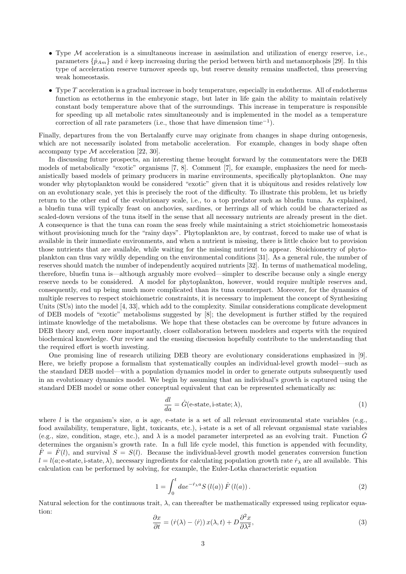- Type  $M$  acceleration is a simultaneous increase in assimilation and utilization of energy reserve, i.e., parameters  $\{\dot{p}_{Am}\}\$  and  $\dot{v}$  keep increasing during the period between birth and metamorphosis [29]. In this type of acceleration reserve turnover speeds up, but reserve density remains unaffected, thus preserving weak homeostasis.
- $\bullet$  Type  $T$  acceleration is a gradual increase in body temperature, especially in endotherms. All of endotherms function as ectotherms in the embryonic stage, but later in life gain the ability to maintain relatively constant body temperature above that of the surroundings. This increase in temperature is responsible for speeding up all metabolic rates simultaneously and is implemented in the model as a temperature correction of all rate parameters (i.e., those that have dimension time<sup>-1</sup>).

Finally, departures from the von Bertalanffy curve may originate from changes in shape during ontogenesis, which are not necessarily isolated from metabolic acceleration. For example, changes in body shape often accompany type  $\mathcal M$  acceleration [22, 30].

In discussing future prospects, an interesting theme brought forward by the commentators were the DEB models of metabolically "exotic" organisms [7, 8]. Comment [7], for example, emphasizes the need for mechanistically based models of primary producers in marine environments, specifically phytoplankton. One may wonder why phytoplankton would be considered "exotic" given that it is ubiquitous and resides relatively low on an evolutionary scale, yet this is precisely the root of the difficulty. To illustrate this problem, let us briefly return to the other end of the evolutionary scale, i.e., to a top predator such as bluefin tuna. As explained, a bluefin tuna will typically feast on anchovies, sardines, or herrings all of which could be characterized as scaled-down versions of the tuna itself in the sense that all necessary nutrients are already present in the diet. A consequence is that the tuna can roam the seas freely while maintaining a strict stoichiometric homeostasis without provisioning much for the "rainy days". Phytoplankton are, by contrast, forced to make use of what is available in their immediate environments, and when a nutrient is missing, there is little choice but to provision those nutrients that are available, while waiting for the missing nutrient to appear. Stoichiometry of phytoplankton can thus vary wildly depending on the environmental conditions [31]. As a general rule, the number of reserves should match the number of independently acquired nutrients [32]. In terms of mathematical modeling, therefore, bluefin tuna is—although arguably more evolved—simpler to describe because only a single energy reserve needs to be considered. A model for phytoplankton, however, would require multiple reserves and, consequently, end up being much more complicated than its tuna counterpart. Moreover, for the dynamics of multiple reserves to respect stoichiometric constraints, it is necessary to implement the concept of Synthesizing Units (SUs) into the model [4, 33], which add to the complexity. Similar considerations complicate development of DEB models of "exotic" metabolisms suggested by [8]; the development is further stifled by the required intimate knowledge of the metabolisms. We hope that these obstacles can be overcome by future advances in DEB theory and, even more importantly, closer collaboration between modelers and experts with the required biochemical knowledge. Our review and the ensuing discussion hopefully contribute to the understanding that the required effort is worth investing.

One promising line of research utilizing DEB theory are evolutionary considerations emphasized in [9]. Here, we briefly propose a formalism that systematically couples an individual-level growth model—such as the standard DEB model—with a population dynamics model in order to generate outputs subsequently used in an evolutionary dynamics model. We begin by assuming that an individual's growth is captured using the standard DEB model or some other conceptual equivalent that can be represented schematically as:

$$
\frac{dl}{da} = \dot{G}(\text{e-state}, \text{i-state}; \lambda),\tag{1}
$$

where l is the organism's size, a is age, e-state is a set of all relevant environmental state variables (e.g., food availability, temperature, light, toxicants, etc.), i-state is a set of all relevant organismal state variables (e.g., size, condition, stage, etc.), and  $\lambda$  is a model parameter interpreted as an evolving trait. Function G determines the organism's growth rate. In a full life cycle model, this function is appended with fecundity,  $\dot{F} = \dot{F}(l)$ , and survival  $S = S(l)$ . Because the individual-level growth model generates conversion function  $l = l(a; \text{e-state}, \text{i-state}, \lambda)$ , necessary ingredients for calculating population growth rate  $\dot{r}_{\lambda}$  are all available. This calculation can be performed by solving, for example, the Euler-Lotka characteristic equation

$$
1 = \int_0^t da e^{-\dot{r}_{\lambda}a} S(l(a)) \dot{F}(l(a)). \tag{2}
$$

Natural selection for the continuous trait,  $\lambda$ , can thereafter be mathematically expressed using replicator equation:

$$
\frac{\partial x}{\partial t} = (\dot{r}(\lambda) - \langle \dot{r} \rangle) x(\lambda, t) + D \frac{\partial^2 x}{\partial \lambda^2},\tag{3}
$$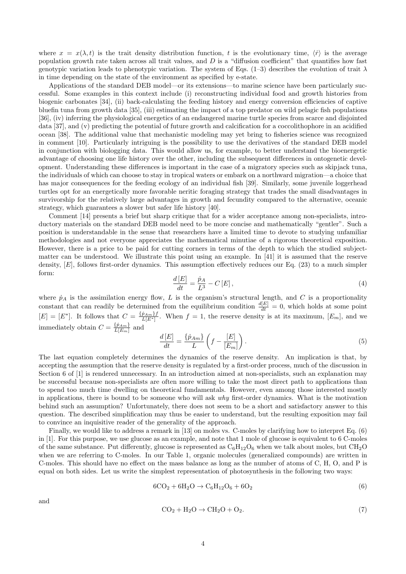where  $x = x(\lambda, t)$  is the trait density distribution function, t is the evolutionary time,  $\langle r \rangle$  is the average population growth rate taken across all trait values, and  $D$  is a "diffusion coefficient" that quantifies how fast genotypic variation leads to phenotypic variation. The system of Eqs. (1–3) describes the evolution of trait  $\lambda$ in time depending on the state of the environment as specified by e-state.

Applications of the standard DEB model—or its extensions—to marine science have been particularly successful. Some examples in this context include (i) reconstructing individual food and growth histories from biogenic carbonates [34], (ii) back-calculating the feeding history and energy conversion efficiencies of captive bluefin tuna from growth data [35], (iii) estimating the impact of a top predator on wild pelagic fish populations [36], (iv) inferring the physiological energetics of an endangered marine turtle species from scarce and disjointed data [37], and (v) predicting the potential of future growth and calcification for a coccolithophore in an acidified ocean [38]. The additional value that mechanistic modeling may yet bring to fisheries science was recognized in comment [10]. Particularly intriguing is the possibility to use the derivatives of the standard DEB model in conjunction with biologging data. This would allow us, for example, to better understand the bioenergetic advantage of choosing one life history over the other, including the subsequent differences in ontogenetic development. Understanding these differences is important in the case of a migratory species such as skipjack tuna, the individuals of which can choose to stay in tropical waters or embark on a northward migration—a choice that has major consequences for the feeding ecology of an individual fish [39]. Similarly, some juvenile loggerhead turtles opt for an energetically more favorable neritic foraging strategy that trades the small disadvantages in survivorship for the relatively large advantages in growth and fecundity compared to the alternative, oceanic strategy, which guarantees a slower but safer life history [40].

Comment [14] presents a brief but sharp critique that for a wider acceptance among non-specialists, introductory materials on the standard DEB model need to be more concise and mathematically "gentler". Such a position is understandable in the sense that researchers have a limited time to devote to studying unfamiliar methodologies and not everyone appreciates the mathematical minutiae of a rigorous theoretical exposition. However, there is a price to be paid for cutting corners in terms of the depth to which the studied subjectmatter can be understood. We illustrate this point using an example. In [41] it is assumed that the reserve density, [E], follows first-order dynamics. This assumption effectively reduces our Eq. (23) to a much simpler form:

$$
\frac{d\left[E\right]}{dt} = \frac{\dot{p}_A}{L^3} - C\left[E\right],\tag{4}
$$

where  $\dot{p}_A$  is the assimilation energy flow, L is the organism's structural length, and C is a proportionality constant that can readily be determined from the equilibrium condition  $\frac{d[E]}{dt} = 0$ , which holds at some point  $[E] = [E^*]$ . It follows that  $C = \frac{\{p_{Am}\}}{L[E^*]}$ . When  $f = 1$ , the reserve density is at its maximum,  $[E_m]$ , and we immediately obtain  $C = \frac{\{\dot{p}_{Am}\}}{L[F]}$  $\frac{PAm}{L[E_m]}$  and

$$
\frac{d[E]}{dt} = \frac{\{\dot{p}_{Am}\}}{L} \left(f - \frac{[E]}{[E_m]}\right). \tag{5}
$$

The last equation completely determines the dynamics of the reserve density. An implication is that, by accepting the assumption that the reserve density is regulated by a first-order process, much of the discussion in Section 6 of [1] is rendered unnecessary. In an introduction aimed at non-specialists, such an explanation may be successful because non-specialists are often more willing to take the most direct path to applications than to spend too much time dwelling on theoretical fundamentals. However, even among those interested mostly in applications, there is bound to be someone who will ask why first-order dynamics. What is the motivation behind such an assumption? Unfortunately, there does not seem to be a short and satisfactory answer to this question. The described simplification may thus be easier to understand, but the resulting exposition may fail to convince an inquisitive reader of the generality of the approach.

Finally, we would like to address a remark in [13] on moles vs. C-moles by clarifying how to interpret Eq. (6) in [1]. For this purpose, we use glucose as an example, and note that 1 mole of glucose is equivalent to 6 C-moles of the same substance. Put differently, glucose is represented as  $C_6H_{12}O_6$  when we talk about moles, but  $CH_2O$ when we are referring to C-moles. In our Table 1, organic molecules (generalized compounds) are written in C-moles. This should have no effect on the mass balance as long as the number of atoms of C, H, O, and P is equal on both sides. Let us write the simplest representation of photosynthesis in the following two ways:

$$
6CO_2 + 6H_2O \rightarrow C_6H_{12}O_6 + 6O_2
$$
\n(6)

and

$$
CO2 + H2O \rightarrow CH2O + O2.
$$
\n(7)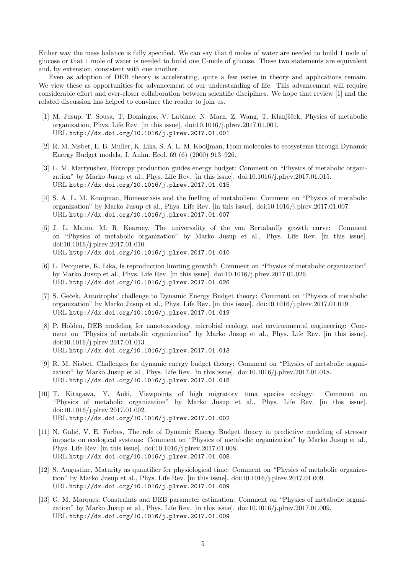Either way the mass balance is fully specified. We can say that 6 moles of water are needed to build 1 mole of glucose or that 1 mole of water is needed to build one C-mole of glucose. These two statements are equivalent and, by extension, consistent with one another.

Even as adoption of DEB theory is accelerating, quite a few issues in theory and applications remain. We view these as opportunities for advancement of our understanding of life. This advancement will require considerable effort and ever-closer collaboration between scientific disciplines. We hope that review [1] and the related discussion has helped to convince the reader to join us.

- [1] M. Jusup, T. Sousa, T. Domingos, V. Labinac, N. Marn, Z. Wang, T. Klanjšček, Physics of metabolic organization, Phys. Life Rev. [in this issue]. doi:10.1016/j.plrev.2017.01.001. URL http://dx.doi.org/10.1016/j.plrev.2017.01.001
- [2] R. M. Nisbet, E. B. Muller, K. Lika, S. A. L. M. Kooijman, From molecules to ecosystems through Dynamic Energy Budget models, J. Anim. Ecol. 69 (6) (2000) 913–926.
- [3] L. M. Martyushev, Entropy production guides energy budget: Comment on "Physics of metabolic organization" by Marko Jusup et al., Phys. Life Rev. [in this issue]. doi:10.1016/j.plrev.2017.01.015. URL http://dx.doi.org/10.1016/j.plrev.2017.01.015
- [4] S. A. L. M. Kooijman, Homeostasis and the fuelling of metabolism: Comment on "Physics of metabolic organization" by Marko Jusup et al., Phys. Life Rev. [in this issue]. doi:10.1016/j.plrev.2017.01.007. URL http://dx.doi.org/10.1016/j.plrev.2017.01.007
- [5] J. L. Maino, M. R. Kearney, The universality of the von Bertalanffy growth curve: Comment on "Physics of metabolic organization" by Marko Jusup et al., Phys. Life Rev. [in this issue]. doi:10.1016/j.plrev.2017.01.010. URL http://dx.doi.org/10.1016/j.plrev.2017.01.010
- [6] L. Pecquerie, K. Lika, Is reproduction limiting growth?: Comment on "Physics of metabolic organization" by Marko Jusup et al., Phys. Life Rev. [in this issue]. doi:10.1016/j.plrev.2017.01.026. URL http://dx.doi.org/10.1016/j.plrev.2017.01.026
- [7] S. Geček, Autotrophs' challenge to Dynamic Energy Budget theory: Comment on "Physics of metabolic organization" by Marko Jusup et al., Phys. Life Rev. [in this issue]. doi:10.1016/j.plrev.2017.01.019. URL http://dx.doi.org/10.1016/j.plrev.2017.01.019
- [8] P. Holden, DEB modeling for nanotoxicology, microbial ecology, and environmental engineering: Comment on "Physics of metabolic organization" by Marko Jusup et al., Phys. Life Rev. [in this issue]. doi:10.1016/j.plrev.2017.01.013. URL http://dx.doi.org/10.1016/j.plrev.2017.01.013
- [9] R. M. Nisbet, Challenges for dynamic energy budget theory: Comment on "Physics of metabolic organization" by Marko Jusup et al., Phys. Life Rev. [in this issue]. doi:10.1016/j.plrev.2017.01.018. URL http://dx.doi.org/10.1016/j.plrev.2017.01.018
- [10] T. Kitagawa, Y. Aoki, Viewpoints of high migratory tuna species ecology: Comment on "Physics of metabolic organization" by Marko Jusup et al., Phys. Life Rev. [in this issue]. doi:10.1016/j.plrev.2017.01.002. URL http://dx.doi.org/10.1016/j.plrev.2017.01.002
- [11] N. Galić, V. E. Forbes, The role of Dynamic Energy Budget theory in predictive modeling of stressor impacts on ecological systems: Comment on "Physics of metabolic organization" by Marko Jusup et al., Phys. Life Rev. [in this issue]. doi:10.1016/j.plrev.2017.01.008. URL http://dx.doi.org/10.1016/j.plrev.2017.01.008
- [12] S. Augustine, Maturity as quantifier for physiological time: Comment on "Physics of metabolic organization" by Marko Jusup et al., Phys. Life Rev. [in this issue]. doi:10.1016/j.plrev.2017.01.009. URL http://dx.doi.org/10.1016/j.plrev.2017.01.009
- [13] G. M. Marques, Constraints and DEB parameter estimation: Comment on "Physics of metabolic organization" by Marko Jusup et al., Phys. Life Rev. [in this issue]. doi:10.1016/j.plrev.2017.01.009. URL http://dx.doi.org/10.1016/j.plrev.2017.01.009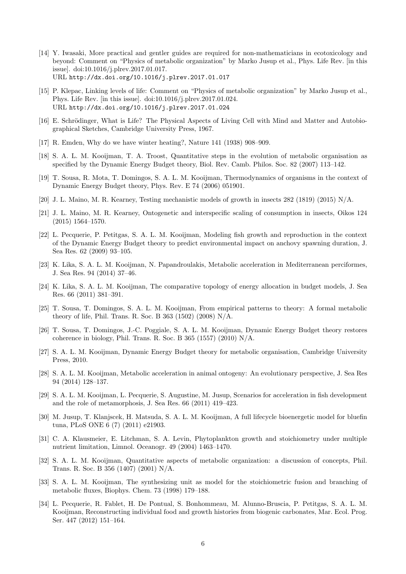- [14] Y. Iwasaki, More practical and gentler guides are required for non-mathematicians in ecotoxicology and beyond: Comment on "Physics of metabolic organization" by Marko Jusup et al., Phys. Life Rev. [in this issue]. doi:10.1016/j.plrev.2017.01.017. URL http://dx.doi.org/10.1016/j.plrev.2017.01.017
- [15] P. Klepac, Linking levels of life: Comment on "Physics of metabolic organization" by Marko Jusup et al., Phys. Life Rev. [in this issue]. doi:10.1016/j.plrev.2017.01.024. URL http://dx.doi.org/10.1016/j.plrev.2017.01.024
- [16] E. Schrödinger, What is Life? The Physical Aspects of Living Cell with Mind and Matter and Autobiographical Sketches, Cambridge University Press, 1967.
- [17] R. Emden, Why do we have winter heating?, Nature 141 (1938) 908–909.
- [18] S. A. L. M. Kooijman, T. A. Troost, Quantitative steps in the evolution of metabolic organisation as specified by the Dynamic Energy Budget theory, Biol. Rev. Camb. Philos. Soc. 82 (2007) 113–142.
- [19] T. Sousa, R. Mota, T. Domingos, S. A. L. M. Kooijman, Thermodynamics of organisms in the context of Dynamic Energy Budget theory, Phys. Rev. E 74 (2006) 051901.
- [20] J. L. Maino, M. R. Kearney, Testing mechanistic models of growth in insects 282 (1819) (2015) N/A.
- [21] J. L. Maino, M. R. Kearney, Ontogenetic and interspecific scaling of consumption in insects, Oikos 124 (2015) 1564–1570.
- [22] L. Pecquerie, P. Petitgas, S. A. L. M. Kooijman, Modeling fish growth and reproduction in the context of the Dynamic Energy Budget theory to predict environmental impact on anchovy spawning duration, J. Sea Res. 62 (2009) 93–105.
- [23] K. Lika, S. A. L. M. Kooijman, N. Papandroulakis, Metabolic acceleration in Mediterranean perciformes, J. Sea Res. 94 (2014) 37–46.
- [24] K. Lika, S. A. L. M. Kooijman, The comparative topology of energy allocation in budget models, J. Sea Res. 66 (2011) 381–391.
- [25] T. Sousa, T. Domingos, S. A. L. M. Kooijman, From empirical patterns to theory: A formal metabolic theory of life, Phil. Trans. R. Soc. B 363 (1502) (2008) N/A.
- [26] T. Sousa, T. Domingos, J.-C. Poggiale, S. A. L. M. Kooijman, Dynamic Energy Budget theory restores coherence in biology, Phil. Trans. R. Soc. B 365 (1557) (2010) N/A.
- [27] S. A. L. M. Kooijman, Dynamic Energy Budget theory for metabolic organisation, Cambridge University Press, 2010.
- [28] S. A. L. M. Kooijman, Metabolic acceleration in animal ontogeny: An evolutionary perspective, J. Sea Res 94 (2014) 128–137.
- [29] S. A. L. M. Kooijman, L. Pecquerie, S. Augustine, M. Jusup, Scenarios for acceleration in fish development and the role of metamorphosis, J. Sea Res. 66 (2011) 419–423.
- [30] M. Jusup, T. Klanjscek, H. Matsuda, S. A. L. M. Kooijman, A full lifecycle bioenergetic model for bluefin tuna, PLoS ONE 6 (7) (2011) e21903.
- [31] C. A. Klausmeier, E. Litchman, S. A. Levin, Phytoplankton growth and stoichiometry under multiple nutrient limitation, Limnol. Oceanogr. 49 (2004) 1463–1470.
- [32] S. A. L. M. Kooijman, Quantitative aspects of metabolic organization: a discussion of concepts, Phil. Trans. R. Soc. B 356 (1407) (2001) N/A.
- [33] S. A. L. M. Kooijman, The synthesizing unit as model for the stoichiometric fusion and branching of metabolic fluxes, Biophys. Chem. 73 (1998) 179–188.
- [34] L. Pecquerie, R. Fablet, H. De Pontual, S. Bonhommeau, M. Alunno-Bruscia, P. Petitgas, S. A. L. M. Kooijman, Reconstructing individual food and growth histories from biogenic carbonates, Mar. Ecol. Prog. Ser. 447 (2012) 151–164.